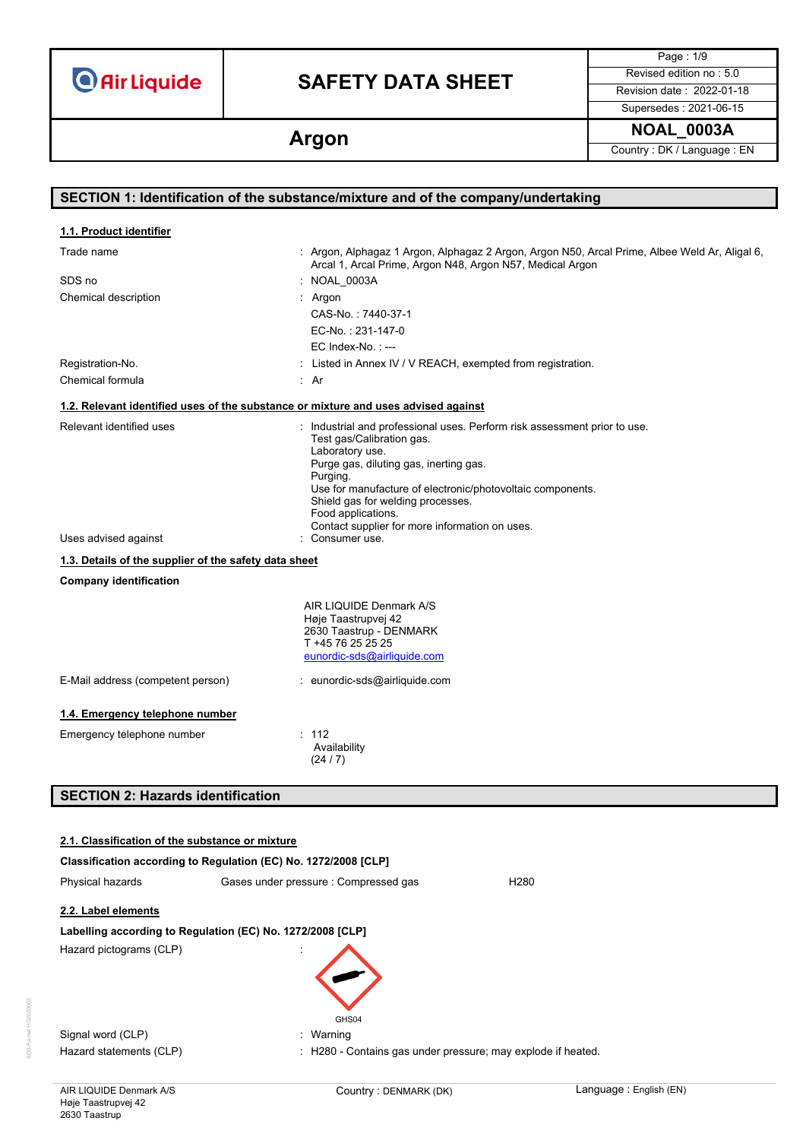# **SAFETY DATA SHEET** Revised edition no : 5.0

Page : 1/9 Supersedes : 2021-06-15

**Argon Argon Country : DK / Language : EN** 

| SECTION 1: Identification of the substance/mixture and of the company/undertaking                                                          |                                                                                                                                                                                                                                                                                                                                                                             |  |
|--------------------------------------------------------------------------------------------------------------------------------------------|-----------------------------------------------------------------------------------------------------------------------------------------------------------------------------------------------------------------------------------------------------------------------------------------------------------------------------------------------------------------------------|--|
|                                                                                                                                            |                                                                                                                                                                                                                                                                                                                                                                             |  |
| 1.1. Product identifier                                                                                                                    |                                                                                                                                                                                                                                                                                                                                                                             |  |
| Trade name                                                                                                                                 | : Argon, Alphagaz 1 Argon, Alphagaz 2 Argon, Argon N50, Arcal Prime, Albee Weld Ar, Aligal 6,<br>Arcal 1, Arcal Prime, Argon N48, Argon N57, Medical Argon                                                                                                                                                                                                                  |  |
| SDS no                                                                                                                                     | : NOAL_0003A                                                                                                                                                                                                                                                                                                                                                                |  |
| Chemical description                                                                                                                       | : Argon                                                                                                                                                                                                                                                                                                                                                                     |  |
|                                                                                                                                            | CAS-No.: 7440-37-1                                                                                                                                                                                                                                                                                                                                                          |  |
|                                                                                                                                            | EC-No.: 231-147-0                                                                                                                                                                                                                                                                                                                                                           |  |
|                                                                                                                                            | $EC$ Index-No.: $---$                                                                                                                                                                                                                                                                                                                                                       |  |
| Registration-No.                                                                                                                           | : Listed in Annex IV / V REACH, exempted from registration.                                                                                                                                                                                                                                                                                                                 |  |
| Chemical formula                                                                                                                           | : Ar                                                                                                                                                                                                                                                                                                                                                                        |  |
| 1.2. Relevant identified uses of the substance or mixture and uses advised against                                                         |                                                                                                                                                                                                                                                                                                                                                                             |  |
| Relevant identified uses<br>Uses advised against<br>1.3. Details of the supplier of the safety data sheet<br><b>Company identification</b> | : Industrial and professional uses. Perform risk assessment prior to use.<br>Test gas/Calibration gas.<br>Laboratory use.<br>Purge gas, diluting gas, inerting gas.<br>Purging.<br>Use for manufacture of electronic/photovoltaic components.<br>Shield gas for welding processes.<br>Food applications.<br>Contact supplier for more information on uses.<br>Consumer use. |  |
|                                                                                                                                            | AIR LIQUIDE Denmark A/S                                                                                                                                                                                                                                                                                                                                                     |  |
|                                                                                                                                            | Høje Taastrupvej 42<br>2630 Taastrup - DENMARK                                                                                                                                                                                                                                                                                                                              |  |
|                                                                                                                                            | T +45 76 25 25 25                                                                                                                                                                                                                                                                                                                                                           |  |
|                                                                                                                                            | eunordic-sds@airliquide.com                                                                                                                                                                                                                                                                                                                                                 |  |
| E-Mail address (competent person)                                                                                                          | : eunordic-sds@airliquide.com                                                                                                                                                                                                                                                                                                                                               |  |
| 1.4. Emergency telephone number                                                                                                            |                                                                                                                                                                                                                                                                                                                                                                             |  |
| Emergency telephone number                                                                                                                 | : 112<br>Availability<br>(24/7)                                                                                                                                                                                                                                                                                                                                             |  |

# **SECTION 2: Hazards identification**

| 2.1. Classification of the substance or mixture            |                                                                 |  |  |
|------------------------------------------------------------|-----------------------------------------------------------------|--|--|
|                                                            | Classification according to Regulation (EC) No. 1272/2008 [CLP] |  |  |
| Physical hazards                                           | Gases under pressure: Compressed gas<br>H280                    |  |  |
| 2.2. Label elements                                        |                                                                 |  |  |
| Labelling according to Regulation (EC) No. 1272/2008 [CLP] |                                                                 |  |  |
| Hazard pictograms (CLP)                                    | GHS04                                                           |  |  |
| Signal word (CLP)                                          | : Warning                                                       |  |  |
| Hazard statements (CLP)                                    | : H280 - Contains gas under pressure; may explode if heated.    |  |  |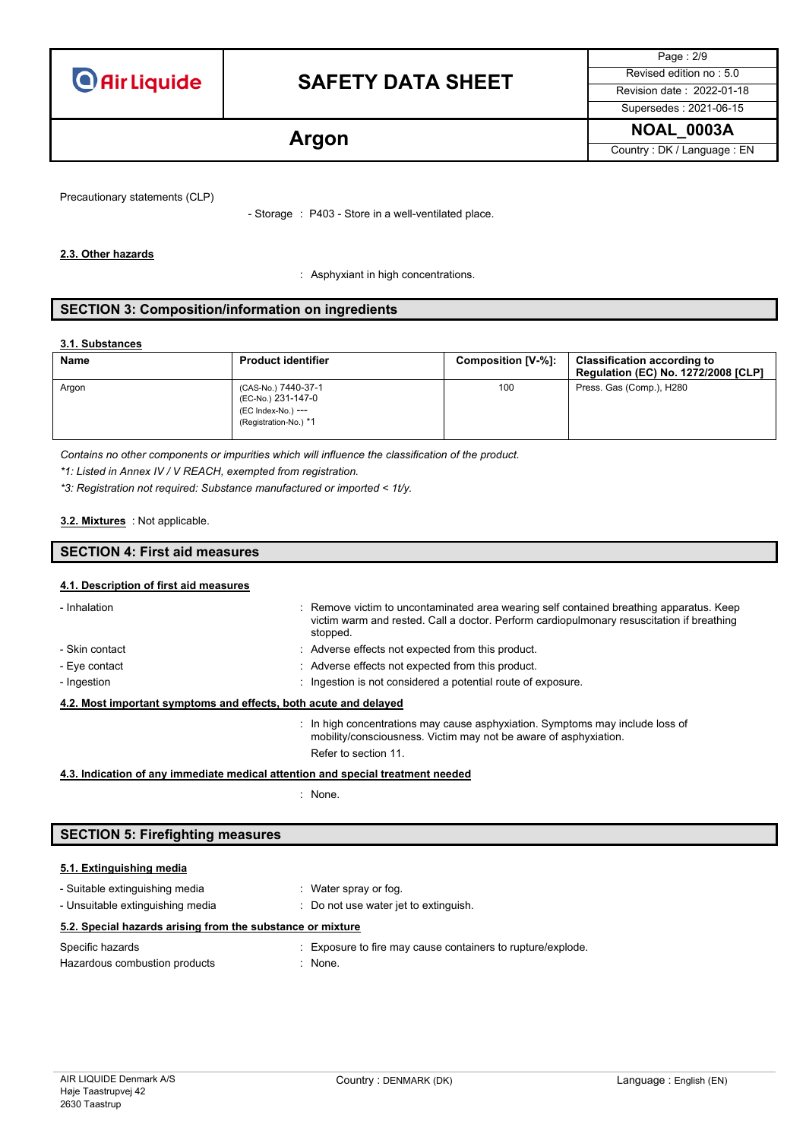

# **SAFETY DATA SHEET** Revised edition no : 5.0

Page : 2/9 Supersedes : 2021-06-15

**Argon Argon Country : DK / Language : EN** 

Precautionary statements (CLP)

- Storage : P403 - Store in a well-ventilated place.

#### **2.3. Other hazards**

: Asphyxiant in high concentrations.

### **SECTION 3: Composition/information on ingredients**

#### **3.1. Substances**

| <b>Name</b> | <b>Product identifier</b>                                                                | Composition [V-%]: | <b>Classification according to</b><br><b>Regulation (EC) No. 1272/2008 [CLP]</b> |
|-------------|------------------------------------------------------------------------------------------|--------------------|----------------------------------------------------------------------------------|
| Argon       | (CAS-No.) 7440-37-1<br>(EC-No.) 231-147-0<br>(EC Index-No.) ---<br>(Registration-No.) *1 | 100                | Press. Gas (Comp.), H280                                                         |

*Contains no other components or impurities which will influence the classification of the product.*

*\*1: Listed in Annex IV / V REACH, exempted from registration.*

*\*3: Registration not required: Substance manufactured or imported < 1t/y.*

#### : Not applicable. **3.2. Mixtures**

## **SECTION 4: First aid measures**

### **4.1. Description of first aid measures**

| - Inhalation                                                     |  | : Remove victim to uncontaminated area wearing self contained breathing apparatus. Keep<br>victim warm and rested. Call a doctor. Perform cardiopulmonary resuscitation if breathing<br>stopped. |
|------------------------------------------------------------------|--|--------------------------------------------------------------------------------------------------------------------------------------------------------------------------------------------------|
| - Skin contact                                                   |  | : Adverse effects not expected from this product.                                                                                                                                                |
| - Eye contact                                                    |  | : Adverse effects not expected from this product.                                                                                                                                                |
| - Ingestion                                                      |  | : Ingestion is not considered a potential route of exposure.                                                                                                                                     |
| 4.2. Most important symptoms and effects, both acute and delayed |  |                                                                                                                                                                                                  |
|                                                                  |  | $\therefore$ In high concentrations may cause asphyxiation. Symptoms may include loss of<br>mobility/consciousness. Victim may not be aware of asphyxiation.                                     |

#### **4.3. Indication of any immediate medical attention and special treatment needed**

: None.

Refer to section 11.

## **SECTION 5: Firefighting measures**

#### **5.1. Extinguishing media**

| - Suitable extinguishing media<br>- Unsuitable extinguishing media | : Water spray or fog.<br>Do not use water jet to extinguish. |
|--------------------------------------------------------------------|--------------------------------------------------------------|
| 5.2. Special hazards arising from the substance or mixture         |                                                              |
| Specific hazards                                                   | : Exposure to fire may cause containers to rupture/explode.  |
| Hazardous combustion products                                      | $:$ None.                                                    |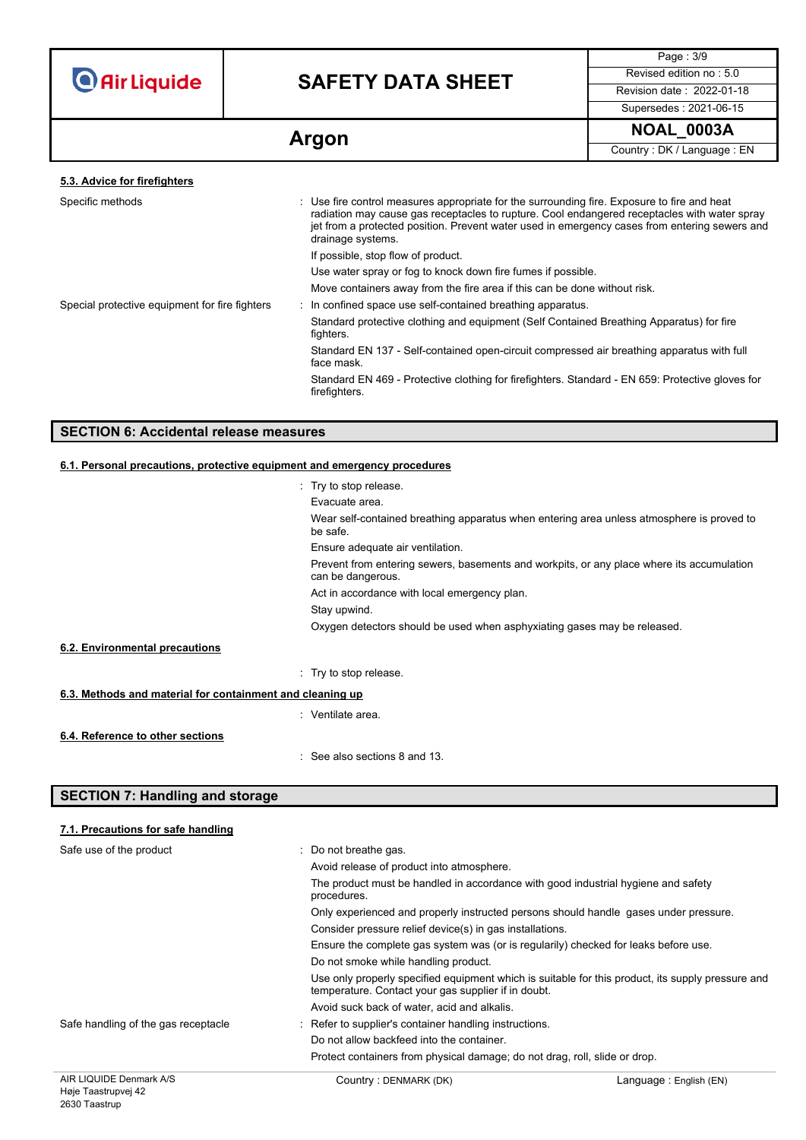# **SAFETY DATA SHEET** Revised edition no : 5.0

Page : 3/9 Supersedes : 2021-06-15

**Argon Argon Country : DK / Language : EN** 

| Specific methods                               | : Use fire control measures appropriate for the surrounding fire. Exposure to fire and heat<br>radiation may cause gas receptacles to rupture. Cool endangered receptacles with water spray<br>jet from a protected position. Prevent water used in emergency cases from entering sewers and<br>drainage systems. |
|------------------------------------------------|-------------------------------------------------------------------------------------------------------------------------------------------------------------------------------------------------------------------------------------------------------------------------------------------------------------------|
|                                                | If possible, stop flow of product.                                                                                                                                                                                                                                                                                |
|                                                | Use water spray or fog to knock down fire fumes if possible.                                                                                                                                                                                                                                                      |
|                                                | Move containers away from the fire area if this can be done without risk.                                                                                                                                                                                                                                         |
| Special protective equipment for fire fighters | : In confined space use self-contained breathing apparatus.                                                                                                                                                                                                                                                       |
|                                                | Standard protective clothing and equipment (Self Contained Breathing Apparatus) for fire<br>fighters.                                                                                                                                                                                                             |
|                                                | Standard EN 137 - Self-contained open-circuit compressed air breathing apparatus with full<br>face mask.                                                                                                                                                                                                          |
|                                                | Standard EN 469 - Protective clothing for firefighters. Standard - EN 659: Protective gloves for<br>firefighters.                                                                                                                                                                                                 |
|                                                |                                                                                                                                                                                                                                                                                                                   |

## **SECTION 6: Accidental release measures**

### **6.1. Personal precautions, protective equipment and emergency procedures**

|                                                           | : Try to stop release.                                                                                         |  |
|-----------------------------------------------------------|----------------------------------------------------------------------------------------------------------------|--|
|                                                           | Evacuate area.                                                                                                 |  |
|                                                           | Wear self-contained breathing apparatus when entering area unless atmosphere is proved to<br>be safe.          |  |
|                                                           | Ensure adequate air ventilation.                                                                               |  |
|                                                           | Prevent from entering sewers, basements and workpits, or any place where its accumulation<br>can be dangerous. |  |
|                                                           | Act in accordance with local emergency plan.                                                                   |  |
|                                                           | Stay upwind.                                                                                                   |  |
|                                                           | Oxygen detectors should be used when asphyxiating gases may be released.                                       |  |
| 6.2. Environmental precautions                            |                                                                                                                |  |
|                                                           | : Try to stop release.                                                                                         |  |
| 6.3. Methods and material for containment and cleaning up |                                                                                                                |  |
|                                                           | $\therefore$ Ventilate area.                                                                                   |  |
| 6.4. Reference to other sections                          |                                                                                                                |  |
|                                                           | : See also sections 8 and 13.                                                                                  |  |

## **SECTION 7: Handling and storage**

### **7.1. Precautions for safe handling**

| Safe use of the product             | $\therefore$ Do not breathe gas.<br>Avoid release of product into atmosphere.                                                                            |
|-------------------------------------|----------------------------------------------------------------------------------------------------------------------------------------------------------|
|                                     | The product must be handled in accordance with good industrial hygiene and safety<br>procedures.                                                         |
|                                     | Only experienced and properly instructed persons should handle gases under pressure.                                                                     |
|                                     | Consider pressure relief device(s) in gas installations.                                                                                                 |
|                                     | Ensure the complete gas system was (or is regularily) checked for leaks before use.                                                                      |
|                                     | Do not smoke while handling product.                                                                                                                     |
|                                     | Use only properly specified equipment which is suitable for this product, its supply pressure and<br>temperature. Contact your gas supplier if in doubt. |
|                                     | Avoid suck back of water, acid and alkalis.                                                                                                              |
| Safe handling of the gas receptacle | : Refer to supplier's container handling instructions.                                                                                                   |
|                                     | Do not allow backfeed into the container.                                                                                                                |
|                                     | Protect containers from physical damage; do not drag, roll, slide or drop.                                                                               |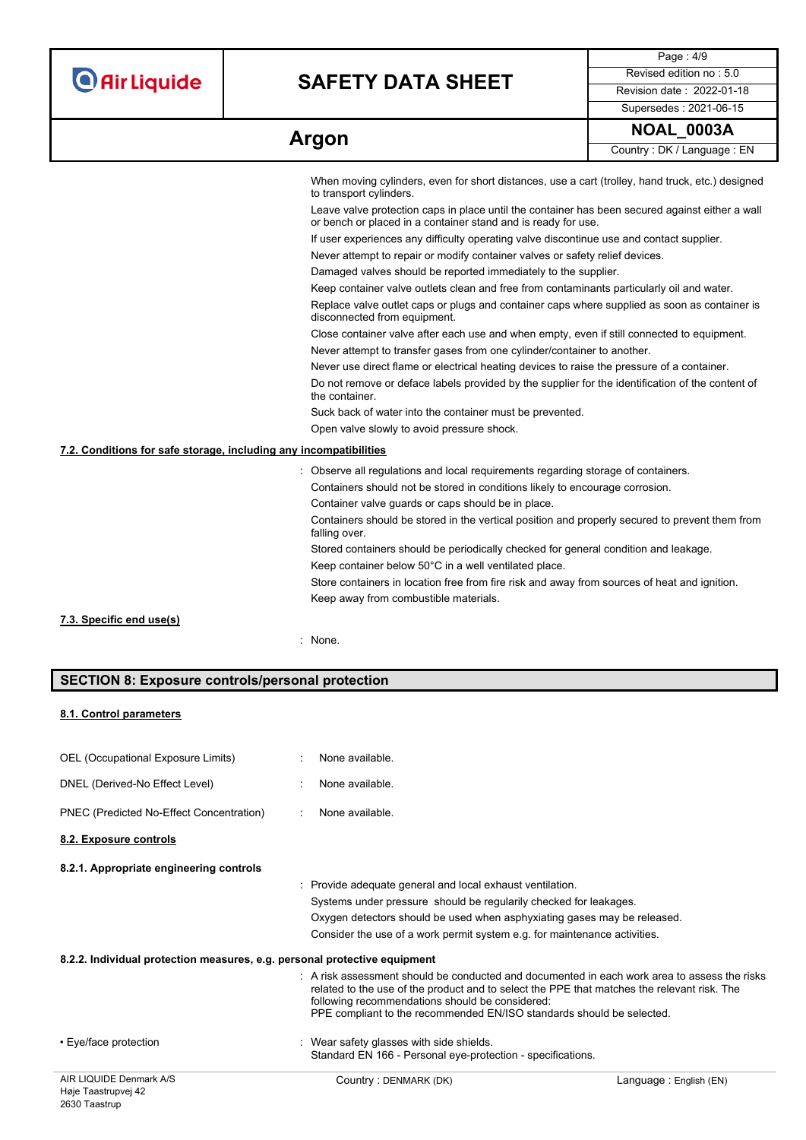| <b>O</b> Air Liquide |  |  |
|----------------------|--|--|
|                      |  |  |

# **SAFETY DATA SHEET** Revised edition no : 5.0

Page : 4/9 Supersedes : 2021-06-15

| Argon | <b>NOAL 0003A</b>          |
|-------|----------------------------|
|       | Country: DK / Language: EN |

|                                                                   | When moving cylinders, even for short distances, use a cart (trolley, hand truck, etc.) designed<br>to transport cylinders.                                      |
|-------------------------------------------------------------------|------------------------------------------------------------------------------------------------------------------------------------------------------------------|
|                                                                   | Leave valve protection caps in place until the container has been secured against either a wall<br>or bench or placed in a container stand and is ready for use. |
|                                                                   | If user experiences any difficulty operating valve discontinue use and contact supplier.                                                                         |
|                                                                   | Never attempt to repair or modify container valves or safety relief devices.                                                                                     |
|                                                                   | Damaged valves should be reported immediately to the supplier.                                                                                                   |
|                                                                   | Keep container valve outlets clean and free from contaminants particularly oil and water.                                                                        |
|                                                                   | Replace valve outlet caps or plugs and container caps where supplied as soon as container is<br>disconnected from equipment.                                     |
|                                                                   | Close container valve after each use and when empty, even if still connected to equipment.                                                                       |
|                                                                   | Never attempt to transfer gases from one cylinder/container to another.                                                                                          |
|                                                                   | Never use direct flame or electrical heating devices to raise the pressure of a container.                                                                       |
|                                                                   | Do not remove or deface labels provided by the supplier for the identification of the content of<br>the container.                                               |
|                                                                   | Suck back of water into the container must be prevented.                                                                                                         |
|                                                                   | Open valve slowly to avoid pressure shock.                                                                                                                       |
| 7.2. Conditions for safe storage, including any incompatibilities |                                                                                                                                                                  |
|                                                                   | Observe all regulations and local requirements regarding storage of containers.                                                                                  |
|                                                                   | Containers should not be stored in conditions likely to encourage corrosion.                                                                                     |
|                                                                   | Container valve guards or caps should be in place.                                                                                                               |
|                                                                   | Containers should be stored in the vertical position and properly secured to prevent them from<br>falling over.                                                  |
|                                                                   | Stored containers should be periodically checked for general condition and leakage.                                                                              |
|                                                                   | Keep container below 50°C in a well ventilated place.                                                                                                            |
|                                                                   | Store containers in location free from fire risk and away from sources of heat and ignition.                                                                     |
|                                                                   | Keep away from combustible materials.                                                                                                                            |
| 7.3. Specific end use(s)                                          |                                                                                                                                                                  |
|                                                                   | : None.                                                                                                                                                          |
|                                                                   |                                                                                                                                                                  |

# **SECTION 8: Exposure controls/personal protection**

#### **8.1. Control parameters**

| AIR LIQUIDE Denmark A/S                                                   | Country: DENMARK (DK)                                                                                                                                                                                                                                                                                                              | Language: English (EN) |
|---------------------------------------------------------------------------|------------------------------------------------------------------------------------------------------------------------------------------------------------------------------------------------------------------------------------------------------------------------------------------------------------------------------------|------------------------|
| • Eye/face protection                                                     | : Wear safety glasses with side shields.<br>Standard EN 166 - Personal eye-protection - specifications.                                                                                                                                                                                                                            |                        |
|                                                                           | $\therefore$ A risk assessment should be conducted and documented in each work area to assess the risks<br>related to the use of the product and to select the PPE that matches the relevant risk. The<br>following recommendations should be considered:<br>PPE compliant to the recommended EN/ISO standards should be selected. |                        |
| 8.2.2. Individual protection measures, e.g. personal protective equipment |                                                                                                                                                                                                                                                                                                                                    |                        |
|                                                                           | Consider the use of a work permit system e.g. for maintenance activities.                                                                                                                                                                                                                                                          |                        |
|                                                                           | Oxygen detectors should be used when asphyxiating gases may be released.                                                                                                                                                                                                                                                           |                        |
|                                                                           | Systems under pressure should be regularily checked for leakages.                                                                                                                                                                                                                                                                  |                        |
|                                                                           | : Provide adequate general and local exhaust ventilation.                                                                                                                                                                                                                                                                          |                        |
| 8.2.1. Appropriate engineering controls                                   |                                                                                                                                                                                                                                                                                                                                    |                        |
| 8.2. Exposure controls                                                    |                                                                                                                                                                                                                                                                                                                                    |                        |
| PNEC (Predicted No-Effect Concentration)                                  | None available.<br>$\mathcal{L}^{\mathcal{L}}$                                                                                                                                                                                                                                                                                     |                        |
| DNEL (Derived-No Effect Level)                                            | None available.<br>۰.                                                                                                                                                                                                                                                                                                              |                        |
| OEL (Occupational Exposure Limits)                                        | None available.                                                                                                                                                                                                                                                                                                                    |                        |
|                                                                           |                                                                                                                                                                                                                                                                                                                                    |                        |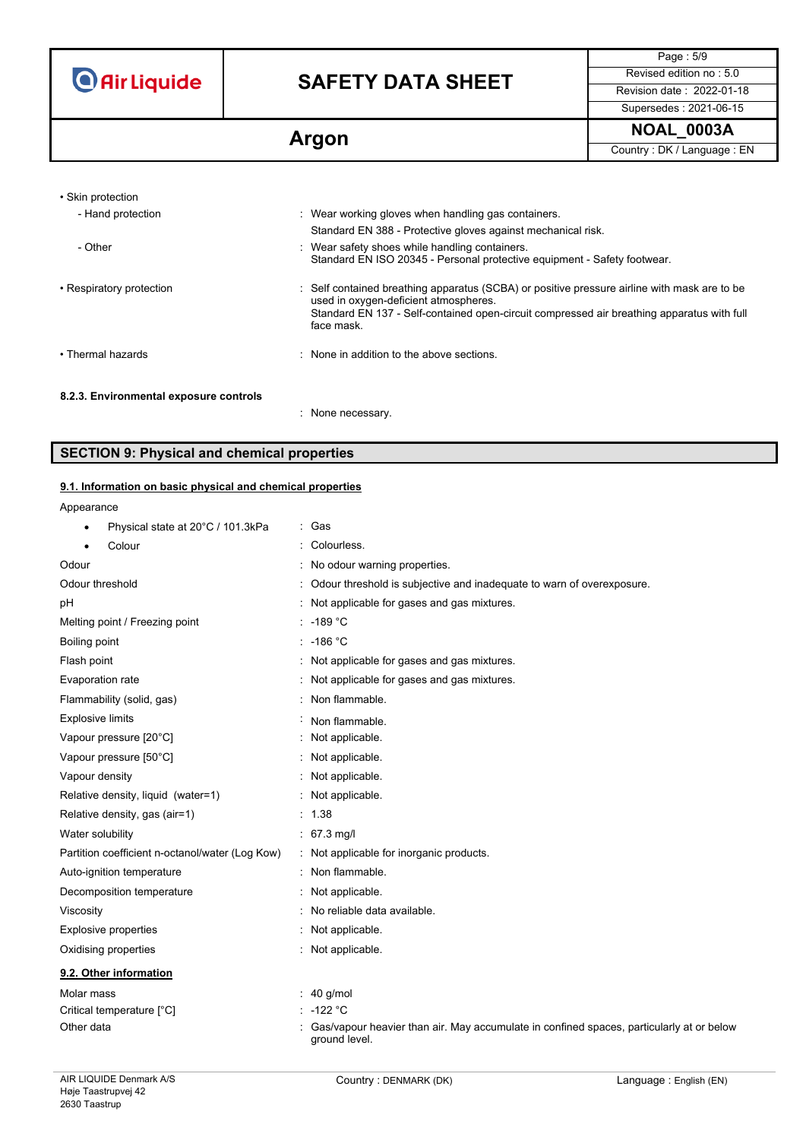# **SAFETY DATA SHEET** Revised edition no : 5.0

Page : 5/9 Supersedes : 2021-06-15

**Argon Argon Country : DK / Language : EN** 

| • Skin protection                      |                                                                                                                                                                                                                                                   |
|----------------------------------------|---------------------------------------------------------------------------------------------------------------------------------------------------------------------------------------------------------------------------------------------------|
| - Hand protection                      | : Wear working gloves when handling gas containers.                                                                                                                                                                                               |
|                                        | Standard EN 388 - Protective gloves against mechanical risk.                                                                                                                                                                                      |
| - Other                                | : Wear safety shoes while handling containers.<br>Standard EN ISO 20345 - Personal protective equipment - Safety footwear.                                                                                                                        |
| • Respiratory protection               | : Self contained breathing apparatus (SCBA) or positive pressure airline with mask are to be<br>used in oxygen-deficient atmospheres.<br>Standard EN 137 - Self-contained open-circuit compressed air breathing apparatus with full<br>face mask. |
| • Thermal hazards                      | : None in addition to the above sections.                                                                                                                                                                                                         |
| 8.2.3. Environmental exposure controls | : None necessary.                                                                                                                                                                                                                                 |

## **SECTION 9: Physical and chemical properties**

### **9.1. Information on basic physical and chemical properties**

Appearance

| Physical state at 20°C / 101.3kPa               | : Gas                                                                                                     |
|-------------------------------------------------|-----------------------------------------------------------------------------------------------------------|
| Colour                                          | Colourless.                                                                                               |
| Odour                                           | No odour warning properties.                                                                              |
| Odour threshold                                 | Odour threshold is subjective and inadequate to warn of overexposure.                                     |
| рH                                              | Not applicable for gases and gas mixtures.                                                                |
| Melting point / Freezing point                  | -189 °C                                                                                                   |
| Boiling point                                   | $: -186 °C$                                                                                               |
| Flash point                                     | Not applicable for gases and gas mixtures.                                                                |
| Evaporation rate                                | Not applicable for gases and gas mixtures.                                                                |
| Flammability (solid, gas)                       | Non flammable.                                                                                            |
| <b>Explosive limits</b>                         | Non flammable.                                                                                            |
| Vapour pressure [20°C]                          | Not applicable.                                                                                           |
| Vapour pressure [50°C]                          | Not applicable.                                                                                           |
| Vapour density                                  | Not applicable.                                                                                           |
| Relative density, liquid (water=1)              | Not applicable.                                                                                           |
| Relative density, gas (air=1)                   | 1.38                                                                                                      |
| Water solubility                                | $: 67.3$ mg/l                                                                                             |
| Partition coefficient n-octanol/water (Log Kow) | Not applicable for inorganic products.                                                                    |
| Auto-ignition temperature                       | Non flammable.                                                                                            |
| Decomposition temperature                       | Not applicable.                                                                                           |
| Viscosity                                       | No reliable data available.                                                                               |
| <b>Explosive properties</b>                     | Not applicable.                                                                                           |
| Oxidising properties                            | Not applicable.                                                                                           |
| 9.2. Other information                          |                                                                                                           |
| Molar mass                                      | 40 g/mol                                                                                                  |
| Critical temperature [°C]                       | $-122 °C$                                                                                                 |
| Other data                                      | Gas/vapour heavier than air. May accumulate in confined spaces, particularly at or below<br>ground level. |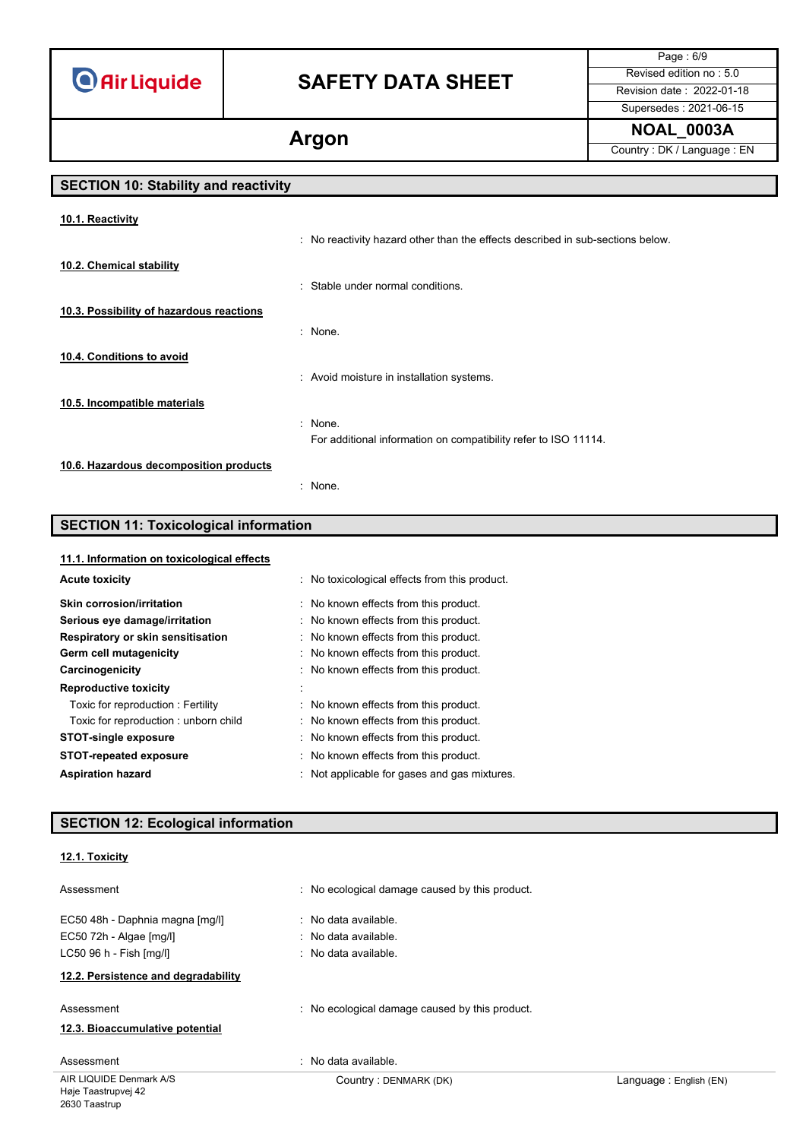# **SAFETY DATA SHEET** Revised edition no : 5.0

Page : 6/9 Supersedes : 2021-06-15

**Argon Argon Country : DK / Language : EN** 

# **SECTION 10: Stability and reactivity**

| 10.1. Reactivity                         |                                                                                |
|------------------------------------------|--------------------------------------------------------------------------------|
|                                          | : No reactivity hazard other than the effects described in sub-sections below. |
| 10.2. Chemical stability                 |                                                                                |
|                                          | : Stable under normal conditions.                                              |
| 10.3. Possibility of hazardous reactions |                                                                                |
|                                          | : None.                                                                        |
| 10.4. Conditions to avoid                |                                                                                |
|                                          | : Avoid moisture in installation systems.                                      |
| 10.5. Incompatible materials             |                                                                                |
|                                          | : None.                                                                        |
|                                          | For additional information on compatibility refer to ISO 11114.                |
| 10.6. Hazardous decomposition products   |                                                                                |
|                                          | : None.                                                                        |

# **SECTION 11: Toxicological information**

#### **11.1. Information on toxicological effects**

| <b>Acute toxicity</b>                | No toxicological effects from this product. |
|--------------------------------------|---------------------------------------------|
| <b>Skin corrosion/irritation</b>     | : No known effects from this product.       |
| Serious eye damage/irritation        | : No known effects from this product.       |
| Respiratory or skin sensitisation    | : No known effects from this product.       |
| Germ cell mutagenicity               | : No known effects from this product.       |
| Carcinogenicity                      | : No known effects from this product.       |
| <b>Reproductive toxicity</b>         |                                             |
| Toxic for reproduction: Fertility    | : No known effects from this product.       |
| Toxic for reproduction: unborn child | : No known effects from this product.       |
| <b>STOT-single exposure</b>          | : No known effects from this product.       |
| <b>STOT-repeated exposure</b>        | : No known effects from this product.       |
| <b>Aspiration hazard</b>             | Not applicable for gases and gas mixtures.  |

# **SECTION 12: Ecological information**

### **12.1. Toxicity**

| Assessment                                                 | : No ecological damage caused by this product. |                        |
|------------------------------------------------------------|------------------------------------------------|------------------------|
| EC50 48h - Daphnia magna [mg/l]<br>EC50 72h - Algae [mg/l] | : No data available.<br>: No data available.   |                        |
| LC50 96 h - Fish [mq/l]                                    | : No data available.                           |                        |
| 12.2. Persistence and degradability                        |                                                |                        |
| Assessment                                                 | : No ecological damage caused by this product. |                        |
| 12.3. Bioaccumulative potential                            |                                                |                        |
| Assessment                                                 | : No data available.                           |                        |
| AIR LIQUIDE Denmark A/S                                    | Country: DENMARK (DK)                          | Language: English (EN) |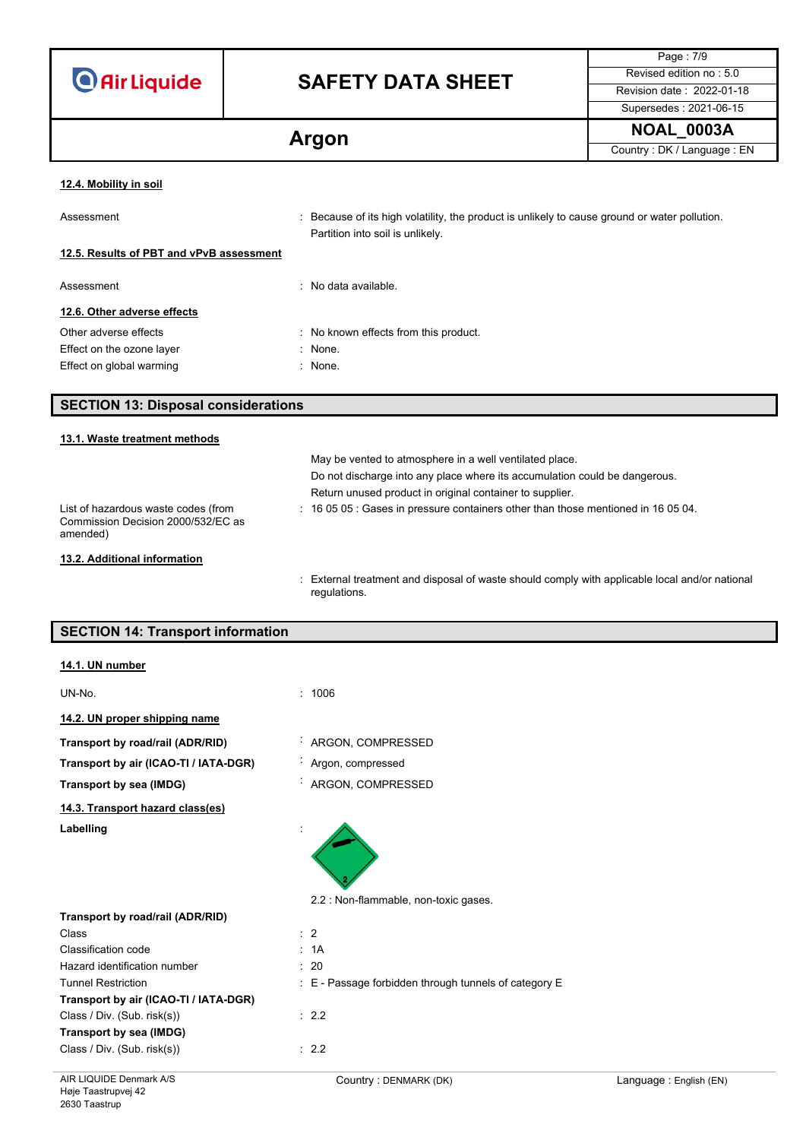| <b>O</b> Air Liquide |  |  |
|----------------------|--|--|
|                      |  |  |

# **SAFETY DATA SHEET**

Page : 7/9 Supersedes : 2021-06-15

**Argon Argon Country : DK / Language : EN** 

#### **12.4. Mobility in soil**

| Assessment                                | : Because of its high volatility, the product is unlikely to cause ground or water pollution. |
|-------------------------------------------|-----------------------------------------------------------------------------------------------|
| 12.5. Results of PBT and vPvB assessment  | Partition into soil is unlikely.                                                              |
| Assessment<br>12.6. Other adverse effects | $\therefore$ No data available.                                                               |
| Other adverse effects                     | : No known effects from this product.                                                         |
| Effect on the ozone layer                 | : None.                                                                                       |

Effect on global warming **in the same of the set of the Second** Second Second Second Second Second Second Second Second Second Second Second Second Second Second Second Second Second Second Second Second Second Second Seco

## **SECTION 13: Disposal considerations**

## **13.1. Waste treatment methods** May be vented to atmosphere in a well ventilated place. Do not discharge into any place where its accumulation could be dangerous. Return unused product in original container to supplier. List of hazardous waste codes (from Commission Decision 2000/532/EC as amended) : 16 05 05 : Gases in pressure containers other than those mentioned in 16 05 04. **13.2. Additional information**

: External treatment and disposal of waste should comply with applicable local and/or national regulations.

## **SECTION 14: Transport information**

| 14.1. UN number                       |                                                       |                        |
|---------------------------------------|-------------------------------------------------------|------------------------|
| UN-No.                                | 1006<br>$\bullet$                                     |                        |
| 14.2. UN proper shipping name         |                                                       |                        |
| Transport by road/rail (ADR/RID)      | ARGON, COMPRESSED                                     |                        |
| Transport by air (ICAO-TI / IATA-DGR) | Argon, compressed                                     |                        |
| Transport by sea (IMDG)               | : ARGON, COMPRESSED                                   |                        |
| 14.3. Transport hazard class(es)      |                                                       |                        |
| Labelling                             | 2.2 : Non-flammable, non-toxic gases.                 |                        |
| Transport by road/rail (ADR/RID)      |                                                       |                        |
| Class                                 | $\therefore$ 2                                        |                        |
| Classification code                   | : 1A                                                  |                        |
| Hazard identification number          | : 20                                                  |                        |
| <b>Tunnel Restriction</b>             | : E - Passage forbidden through tunnels of category E |                        |
| Transport by air (ICAO-TI / IATA-DGR) |                                                       |                        |
| Class / Div. (Sub. risk(s))           | : 2.2                                                 |                        |
| Transport by sea (IMDG)               |                                                       |                        |
| Class / Div. (Sub. risk(s))           | $\therefore$ 2.2                                      |                        |
| AIR LIQUIDE Denmark A/S               | Country: DENMARK (DK)                                 | Language: English (EN) |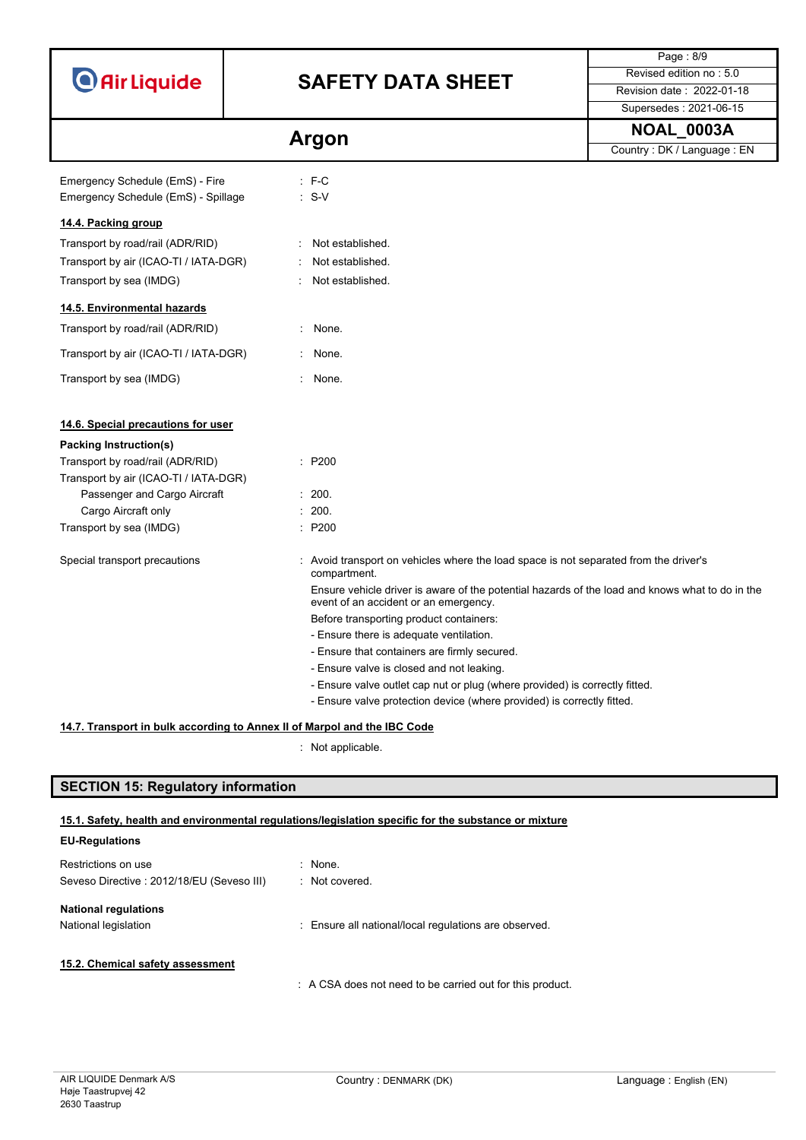|                                                |                                                                                                                                          | Page: 8/9                  |  |  |
|------------------------------------------------|------------------------------------------------------------------------------------------------------------------------------------------|----------------------------|--|--|
| <b>O</b> Air Liquide                           | <b>SAFETY DATA SHEET</b>                                                                                                                 | Revised edition no: 5.0    |  |  |
|                                                |                                                                                                                                          | Revision date: 2022-01-18  |  |  |
|                                                |                                                                                                                                          | Supersedes: 2021-06-15     |  |  |
|                                                | Argon                                                                                                                                    | <b>NOAL_0003A</b>          |  |  |
|                                                |                                                                                                                                          | Country: DK / Language: EN |  |  |
| Emergency Schedule (EmS) - Fire                | $: F-C$                                                                                                                                  |                            |  |  |
| $: S-V$<br>Emergency Schedule (EmS) - Spillage |                                                                                                                                          |                            |  |  |
| 14.4. Packing group                            |                                                                                                                                          |                            |  |  |
| Transport by road/rail (ADR/RID)               | Not established.                                                                                                                         |                            |  |  |
| Transport by air (ICAO-TI / IATA-DGR)          | Not established.                                                                                                                         |                            |  |  |
| Transport by sea (IMDG)                        | Not established.                                                                                                                         |                            |  |  |
|                                                |                                                                                                                                          |                            |  |  |
| 14.5. Environmental hazards                    |                                                                                                                                          |                            |  |  |
| Transport by road/rail (ADR/RID)               | $\mathcal{L}_{\mathcal{L}}$<br>None.                                                                                                     |                            |  |  |
| Transport by air (ICAO-TI / IATA-DGR)          | None.                                                                                                                                    |                            |  |  |
| Transport by sea (IMDG)                        | None.                                                                                                                                    |                            |  |  |
|                                                |                                                                                                                                          |                            |  |  |
| 14.6. Special precautions for user             |                                                                                                                                          |                            |  |  |
| Packing Instruction(s)                         |                                                                                                                                          |                            |  |  |
| Transport by road/rail (ADR/RID)               | : P200                                                                                                                                   |                            |  |  |
| Transport by air (ICAO-TI / IATA-DGR)          |                                                                                                                                          |                            |  |  |
| Passenger and Cargo Aircraft                   | : 200.                                                                                                                                   |                            |  |  |
| Cargo Aircraft only                            | : 200.                                                                                                                                   |                            |  |  |
| Transport by sea (IMDG)                        | : P200                                                                                                                                   |                            |  |  |
| Special transport precautions                  | : Avoid transport on vehicles where the load space is not separated from the driver's<br>compartment.                                    |                            |  |  |
|                                                | Ensure vehicle driver is aware of the potential hazards of the load and knows what to do in the<br>event of an accident or an emergency. |                            |  |  |
|                                                | Before transporting product containers:                                                                                                  |                            |  |  |
|                                                | - Ensure there is adequate ventilation.                                                                                                  |                            |  |  |
|                                                | - Ensure that containers are firmly secured.                                                                                             |                            |  |  |
|                                                | - Ensure valve is closed and not leaking.                                                                                                |                            |  |  |
|                                                | - Ensure valve outlet cap nut or plug (where provided) is correctly fitted.                                                              |                            |  |  |
|                                                | - Ensure valve protection device (where provided) is correctly fitted.                                                                   |                            |  |  |
|                                                |                                                                                                                                          |                            |  |  |

## **14.7. Transport in bulk according to Annex II of Marpol and the IBC Code**

: Not applicable.

# **SECTION 15: Regulatory information**

## **15.1. Safety, health and environmental regulations/legislation specific for the substance or mixture**

| <b>EU-Regulations</b>                      |                                                           |
|--------------------------------------------|-----------------------------------------------------------|
| Restrictions on use                        | $\therefore$ None.                                        |
| Seveso Directive : 2012/18/EU (Seveso III) | : Not covered.                                            |
| <b>National regulations</b>                |                                                           |
| National legislation                       | : Ensure all national/local regulations are observed.     |
|                                            |                                                           |
| 15.2. Chemical safety assessment           |                                                           |
|                                            | : A CSA does not need to be carried out for this product. |